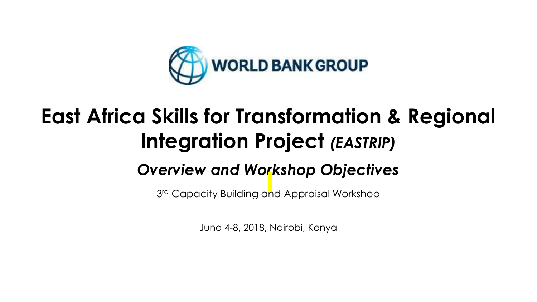

# **East Africa Skills for Transformation & Regional Integration Project** *(EASTRIP)*

# *Overview and Workshop Objectives*

3 rd Capacity Building and Appraisal Workshop

June 4-8, 2018, Nairobi, Kenya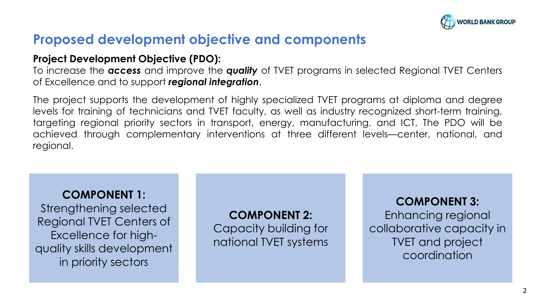

## **Proposed development objective and components**

#### **Project Development Objective (PDO):**

To increase the *access* and improve the *quality* of TVET programs in selected Regional TVET Centers of Excellence and to support *regional integration*.

The project supports the development of highly specialized TVET programs at diploma and degree levels for training of technicians and TVET faculty, as well as industry recognized short-term training, targeting regional priority sectors in transport, energy, manufacturing, and ICT. The PDO will be achieved through complementary interventions at three different levels—center, national, and regional.

#### **COMPONENT 1:**

Strengthening selected Regional TVET Centers of Excellence for highquality skills development in priority sectors

**COMPONENT 2:** Capacity building for national TVET systems

#### **COMPONENT 3:**

Enhancing regional collaborative capacity in TVET and project coordination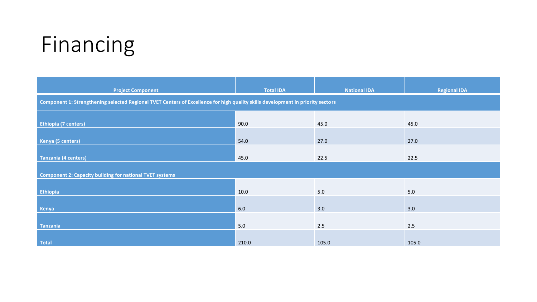# Financing

| <b>Project Component</b>                                                                                                        | <b>Total IDA</b> | <b>National IDA</b> | <b>Regional IDA</b> |  |  |
|---------------------------------------------------------------------------------------------------------------------------------|------------------|---------------------|---------------------|--|--|
| Component 1: Strengthening selected Regional TVET Centers of Excellence for high quality skills development in priority sectors |                  |                     |                     |  |  |
|                                                                                                                                 |                  |                     |                     |  |  |
| <b>Ethiopia (7 centers)</b>                                                                                                     | 90.0             | 45.0                | 45.0                |  |  |
|                                                                                                                                 |                  |                     |                     |  |  |
| <b>Kenya (5 centers)</b>                                                                                                        | 54.0             | 27.0                | 27.0                |  |  |
| <b>Tanzania (4 centers)</b>                                                                                                     | 45.0             | 22.5                | 22.5                |  |  |
|                                                                                                                                 |                  |                     |                     |  |  |
| <b>Component 2: Capacity building for national TVET systems</b>                                                                 |                  |                     |                     |  |  |
|                                                                                                                                 |                  |                     |                     |  |  |
| Ethiopia                                                                                                                        | 10.0             | 5.0                 | 5.0                 |  |  |
|                                                                                                                                 |                  |                     |                     |  |  |
| Kenya                                                                                                                           | 6.0              | 3.0                 | 3.0                 |  |  |
|                                                                                                                                 |                  |                     |                     |  |  |
| Tanzania                                                                                                                        | 5.0              | 2.5                 | 2.5                 |  |  |
|                                                                                                                                 |                  |                     |                     |  |  |
| <b>Total</b>                                                                                                                    | 210.0            | 105.0               | 105.0               |  |  |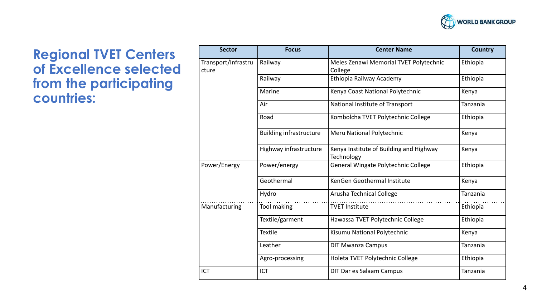

### **Regional TVET Centers of Excellence selected from the participating countries:**

| <b>Sector</b>                | <b>Focus</b>                   | <b>Center Name</b>                                    | Country  |
|------------------------------|--------------------------------|-------------------------------------------------------|----------|
| Transport/Infrastru<br>cture | Railway                        | Meles Zenawi Memorial TVET Polytechnic<br>College     | Ethiopia |
|                              | Railway                        | Ethiopia Railway Academy                              | Ethiopia |
|                              | Marine                         | Kenya Coast National Polytechnic                      | Kenya    |
|                              | Air                            | National Institute of Transport                       | Tanzania |
|                              | Road                           | Kombolcha TVET Polytechnic College                    | Ethiopia |
|                              | <b>Building infrastructure</b> | Meru National Polytechnic                             | Kenya    |
|                              | Highway infrastructure         | Kenya Institute of Building and Highway<br>Technology | Kenya    |
| Power/Energy                 | Power/energy                   | General Wingate Polytechnic College                   | Ethiopia |
|                              | Geothermal                     | KenGen Geothermal Institute                           | Kenya    |
|                              | Hydro                          | Arusha Technical College                              | Tanzania |
| Manufacturing                | Tool making                    | <b>TVET Institute</b>                                 | Ethiopia |
|                              | Textile/garment                | Hawassa TVET Polytechnic College                      | Ethiopia |
|                              | <b>Textile</b>                 | Kisumu National Polytechnic                           | Kenya    |
|                              | Leather                        | <b>DIT Mwanza Campus</b>                              | Tanzania |
|                              | Agro-processing                | Holeta TVET Polytechnic College                       | Ethiopia |
| <b>ICT</b>                   | ICT                            | DIT Dar es Salaam Campus                              | Tanzania |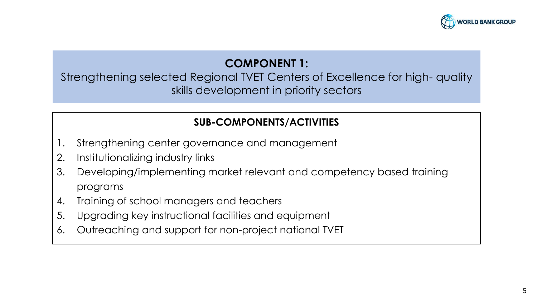

#### **COMPONENT 1:**

Strengthening selected Regional TVET Centers of Excellence for high- quality skills development in priority sectors

#### **SUB-COMPONENTS/ACTIVITIES**

- 1. Strengthening center governance and management
- 2. Institutionalizing industry links
- 3. Developing/implementing market relevant and competency based training programs
- 4. Training of school managers and teachers
- 5. Upgrading key instructional facilities and equipment
- 6. Outreaching and support for non-project national TVET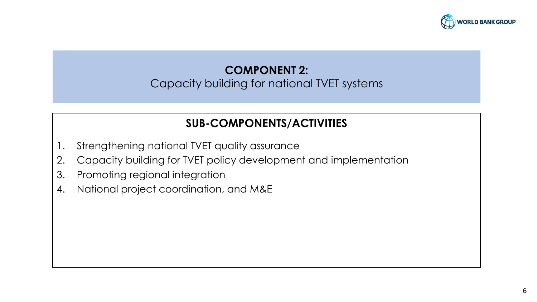

## **COMPONENT 2:**

#### Capacity building for national TVET systems

#### **SUB-COMPONENTS/ACTIVITIES**

- 1. Strengthening national TVET quality assurance
- 2. Capacity building for TVET policy development and implementation
- 3. Promoting regional integration
- 4. National project coordination, and M&E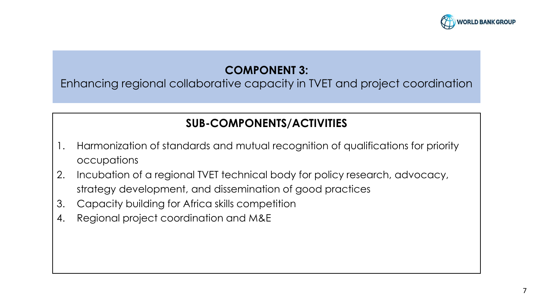

7

### **COMPONENT 3:**

Enhancing regional collaborative capacity in TVET and project coordination

### **SUB-COMPONENTS/ACTIVITIES**

- 1. Harmonization of standards and mutual recognition of qualifications for priority occupations
- 2. Incubation of a regional TVET technical body for policy research, advocacy, strategy development, and dissemination of good practices
- 3. Capacity building for Africa skills competition
- 4. Regional project coordination and M&E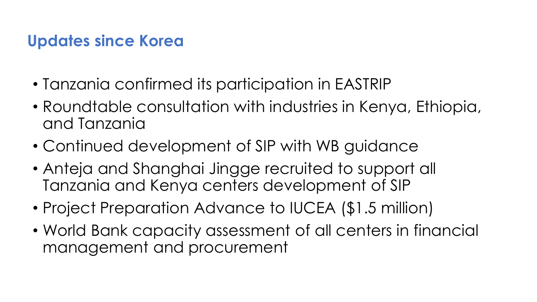## **Updates since Korea**

- Tanzania confirmed its participation in EASTRIP
- Roundtable consultation with industries in Kenya, Ethiopia, and Tanzania
- Continued development of SIP with WB guidance
- Anteja and Shanghai Jingge recruited to support all Tanzania and Kenya centers development of SIP
- Project Preparation Advance to IUCEA (\$1.5 million)
- World Bank capacity assessment of all centers in financial management and procurement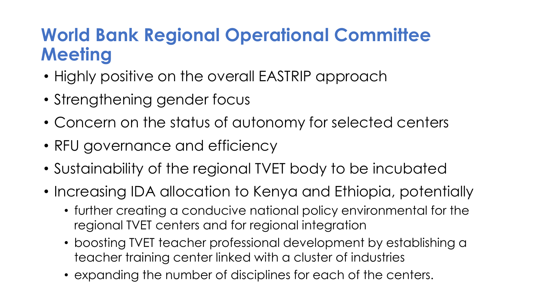# **World Bank Regional Operational Committee Meeting**

- Highly positive on the overall EASTRIP approach
- Strengthening gender focus
- Concern on the status of autonomy for selected centers
- RFU governance and efficiency
- Sustainability of the regional TVET body to be incubated
- Increasing IDA allocation to Kenya and Ethiopia, potentially
	- further creating a conducive national policy environmental for the regional TVET centers and for regional integration
	- boosting TVET teacher professional development by establishing a teacher training center linked with a cluster of industries
	- expanding the number of disciplines for each of the centers.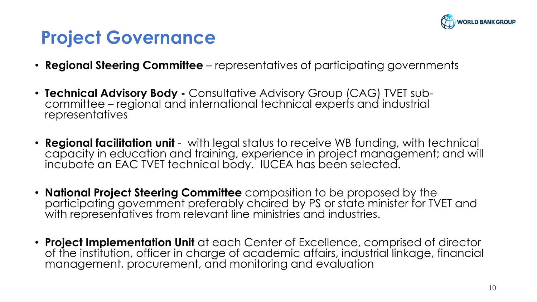

# **Project Governance**

- **Regional Steering Committee**  representatives of participating governments
- **Technical Advisory Body -** Consultative Advisory Group (CAG) TVET subcommittee – regional and international technical experts and industrial representatives
- **Regional facilitation unit**  with legal status to receive WB funding, with technical capacity in education and training, experience in project management; and will incubate an EAC TVET technical body. IUCEA has been selected.
- **National Project Steering Committee** composition to be proposed by the participating government preferably chaired by PS or state minister for TVET and with representatives from relevant line ministries and industries.
- **Project Implementation Unit** at each Center of Excellence, comprised of director of the institution, officer in charge of academic affairs, industrial linkage, financial management, procurement, and monitoring and evaluation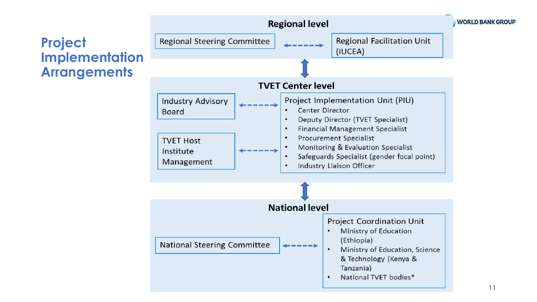## **Project Implementation Arrangements**



11